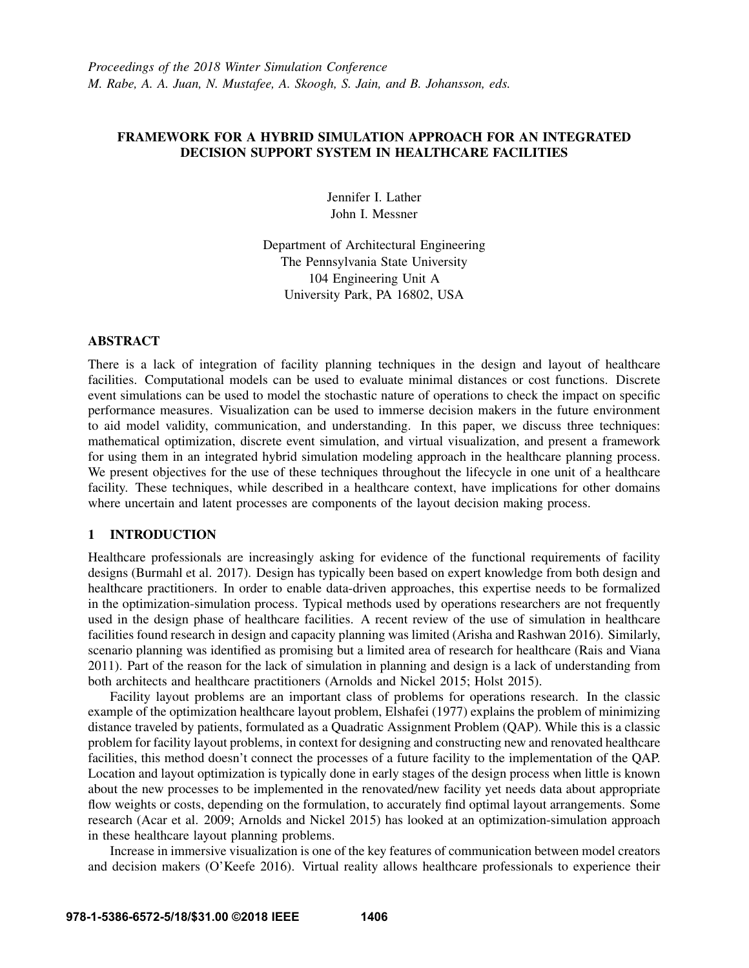## FRAMEWORK FOR A HYBRID SIMULATION APPROACH FOR AN INTEGRATED DECISION SUPPORT SYSTEM IN HEALTHCARE FACILITIES

Jennifer I. Lather John I. Messner

Department of Architectural Engineering The Pennsylvania State University 104 Engineering Unit A University Park, PA 16802, USA

### ABSTRACT

There is a lack of integration of facility planning techniques in the design and layout of healthcare facilities. Computational models can be used to evaluate minimal distances or cost functions. Discrete event simulations can be used to model the stochastic nature of operations to check the impact on specific performance measures. Visualization can be used to immerse decision makers in the future environment to aid model validity, communication, and understanding. In this paper, we discuss three techniques: mathematical optimization, discrete event simulation, and virtual visualization, and present a framework for using them in an integrated hybrid simulation modeling approach in the healthcare planning process. We present objectives for the use of these techniques throughout the lifecycle in one unit of a healthcare facility. These techniques, while described in a healthcare context, have implications for other domains where uncertain and latent processes are components of the layout decision making process.

## 1 INTRODUCTION

Healthcare professionals are increasingly asking for evidence of the functional requirements of facility designs (Burmahl et al. 2017). Design has typically been based on expert knowledge from both design and healthcare practitioners. In order to enable data-driven approaches, this expertise needs to be formalized in the optimization-simulation process. Typical methods used by operations researchers are not frequently used in the design phase of healthcare facilities. A recent review of the use of simulation in healthcare facilities found research in design and capacity planning was limited (Arisha and Rashwan 2016). Similarly, scenario planning was identified as promising but a limited area of research for healthcare (Rais and Viana 2011). Part of the reason for the lack of simulation in planning and design is a lack of understanding from both architects and healthcare practitioners (Arnolds and Nickel 2015; Holst 2015).

Facility layout problems are an important class of problems for operations research. In the classic example of the optimization healthcare layout problem, Elshafei (1977) explains the problem of minimizing distance traveled by patients, formulated as a Quadratic Assignment Problem (QAP). While this is a classic problem for facility layout problems, in context for designing and constructing new and renovated healthcare facilities, this method doesn't connect the processes of a future facility to the implementation of the QAP. Location and layout optimization is typically done in early stages of the design process when little is known about the new processes to be implemented in the renovated/new facility yet needs data about appropriate flow weights or costs, depending on the formulation, to accurately find optimal layout arrangements. Some research (Acar et al. 2009; Arnolds and Nickel 2015) has looked at an optimization-simulation approach in these healthcare layout planning problems.

Increase in immersive visualization is one of the key features of communication between model creators and decision makers (O'Keefe 2016). Virtual reality allows healthcare professionals to experience their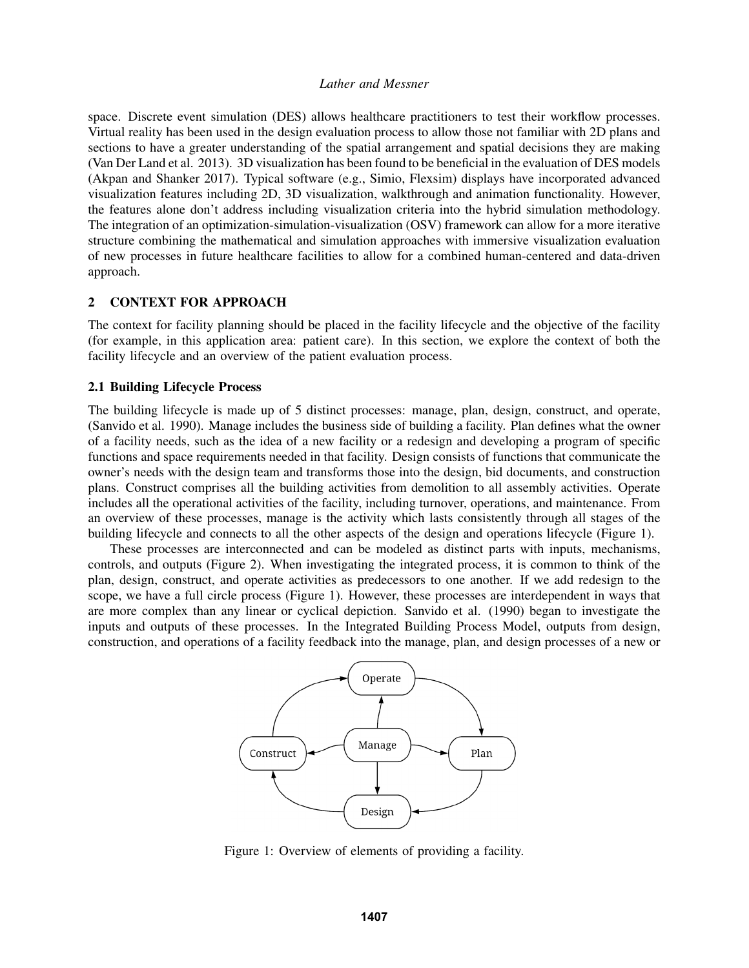space. Discrete event simulation (DES) allows healthcare practitioners to test their workflow processes. Virtual reality has been used in the design evaluation process to allow those not familiar with 2D plans and sections to have a greater understanding of the spatial arrangement and spatial decisions they are making (Van Der Land et al. 2013). 3D visualization has been found to be beneficial in the evaluation of DES models (Akpan and Shanker 2017). Typical software (e.g., Simio, Flexsim) displays have incorporated advanced visualization features including 2D, 3D visualization, walkthrough and animation functionality. However, the features alone don't address including visualization criteria into the hybrid simulation methodology. The integration of an optimization-simulation-visualization (OSV) framework can allow for a more iterative structure combining the mathematical and simulation approaches with immersive visualization evaluation of new processes in future healthcare facilities to allow for a combined human-centered and data-driven approach.

## 2 CONTEXT FOR APPROACH

The context for facility planning should be placed in the facility lifecycle and the objective of the facility (for example, in this application area: patient care). In this section, we explore the context of both the facility lifecycle and an overview of the patient evaluation process.

### 2.1 Building Lifecycle Process

The building lifecycle is made up of 5 distinct processes: manage, plan, design, construct, and operate, (Sanvido et al. 1990). Manage includes the business side of building a facility. Plan defines what the owner of a facility needs, such as the idea of a new facility or a redesign and developing a program of specific functions and space requirements needed in that facility. Design consists of functions that communicate the owner's needs with the design team and transforms those into the design, bid documents, and construction plans. Construct comprises all the building activities from demolition to all assembly activities. Operate includes all the operational activities of the facility, including turnover, operations, and maintenance. From an overview of these processes, manage is the activity which lasts consistently through all stages of the building lifecycle and connects to all the other aspects of the design and operations lifecycle (Figure 1).

These processes are interconnected and can be modeled as distinct parts with inputs, mechanisms, controls, and outputs (Figure 2). When investigating the integrated process, it is common to think of the plan, design, construct, and operate activities as predecessors to one another. If we add redesign to the scope, we have a full circle process (Figure 1). However, these processes are interdependent in ways that are more complex than any linear or cyclical depiction. Sanvido et al. (1990) began to investigate the inputs and outputs of these processes. In the Integrated Building Process Model, outputs from design, construction, and operations of a facility feedback into the manage, plan, and design processes of a new or



Figure 1: Overview of elements of providing a facility.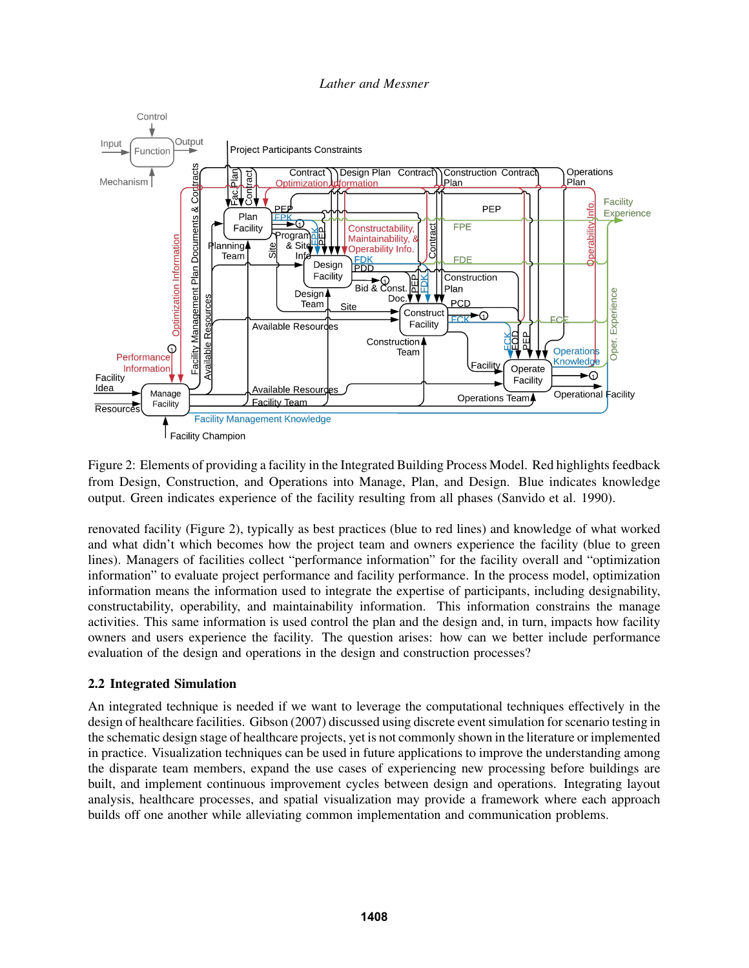

Figure 2: Elements of providing a facility in the Integrated Building Process Model. Red highlights feedback from Design, Construction, and Operations into Manage, Plan, and Design. Blue indicates knowledge output. Green indicates experience of the facility resulting from all phases (Sanvido et al. 1990).

renovated facility (Figure 2), typically as best practices (blue to red lines) and knowledge of what worked and what didn't which becomes how the project team and owners experience the facility (blue to green lines). Managers of facilities collect "performance information" for the facility overall and "optimization information" to evaluate project performance and facility performance. In the process model, optimization information means the information used to integrate the expertise of participants, including designability, constructability, operability, and maintainability information. This information constrains the manage activities. This same information is used control the plan and the design and, in turn, impacts how facility owners and users experience the facility. The question arises: how can we better include performance evaluation of the design and operations in the design and construction processes?

# 2.2 Integrated Simulation

An integrated technique is needed if we want to leverage the computational techniques effectively in the design of healthcare facilities. Gibson (2007) discussed using discrete event simulation for scenario testing in the schematic design stage of healthcare projects, yet is not commonly shown in the literature or implemented in practice. Visualization techniques can be used in future applications to improve the understanding among the disparate team members, expand the use cases of experiencing new processing before buildings are built, and implement continuous improvement cycles between design and operations. Integrating layout analysis, healthcare processes, and spatial visualization may provide a framework where each approach builds off one another while alleviating common implementation and communication problems.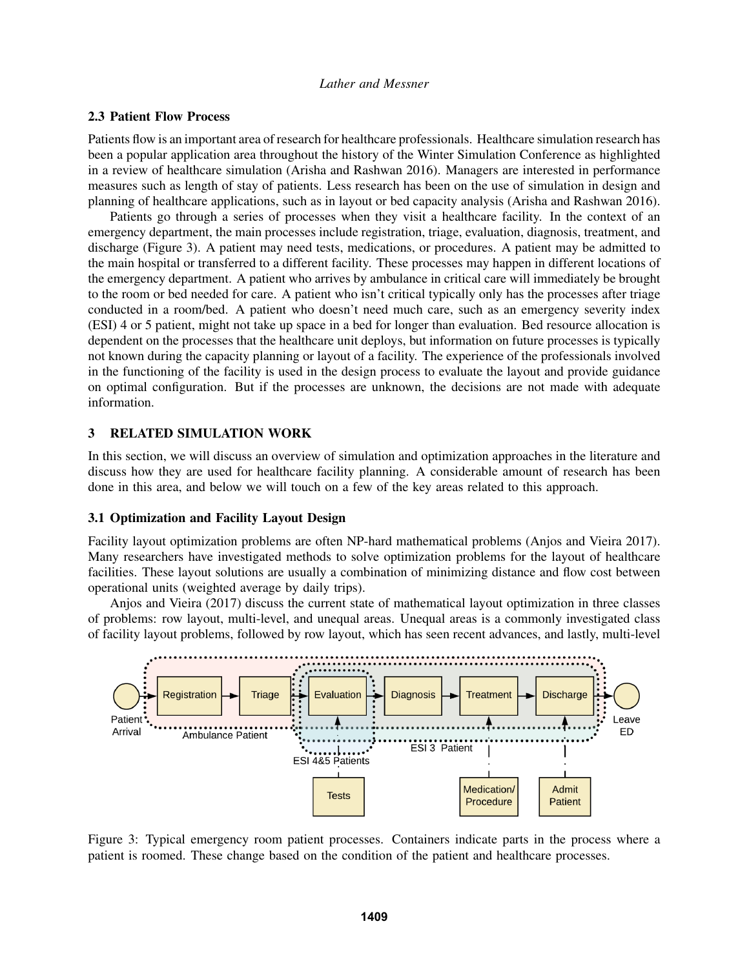### 2.3 Patient Flow Process

Patients flow is an important area of research for healthcare professionals. Healthcare simulation research has been a popular application area throughout the history of the Winter Simulation Conference as highlighted in a review of healthcare simulation (Arisha and Rashwan 2016). Managers are interested in performance measures such as length of stay of patients. Less research has been on the use of simulation in design and planning of healthcare applications, such as in layout or bed capacity analysis (Arisha and Rashwan 2016).

Patients go through a series of processes when they visit a healthcare facility. In the context of an emergency department, the main processes include registration, triage, evaluation, diagnosis, treatment, and discharge (Figure 3). A patient may need tests, medications, or procedures. A patient may be admitted to the main hospital or transferred to a different facility. These processes may happen in different locations of the emergency department. A patient who arrives by ambulance in critical care will immediately be brought to the room or bed needed for care. A patient who isn't critical typically only has the processes after triage conducted in a room/bed. A patient who doesn't need much care, such as an emergency severity index (ESI) 4 or 5 patient, might not take up space in a bed for longer than evaluation. Bed resource allocation is dependent on the processes that the healthcare unit deploys, but information on future processes is typically not known during the capacity planning or layout of a facility. The experience of the professionals involved in the functioning of the facility is used in the design process to evaluate the layout and provide guidance on optimal configuration. But if the processes are unknown, the decisions are not made with adequate information.

## 3 RELATED SIMULATION WORK

In this section, we will discuss an overview of simulation and optimization approaches in the literature and discuss how they are used for healthcare facility planning. A considerable amount of research has been done in this area, and below we will touch on a few of the key areas related to this approach.

#### 3.1 Optimization and Facility Layout Design

Facility layout optimization problems are often NP-hard mathematical problems (Anjos and Vieira 2017). Many researchers have investigated methods to solve optimization problems for the layout of healthcare facilities. These layout solutions are usually a combination of minimizing distance and flow cost between operational units (weighted average by daily trips).

Anjos and Vieira (2017) discuss the current state of mathematical layout optimization in three classes of problems: row layout, multi-level, and unequal areas. Unequal areas is a commonly investigated class of facility layout problems, followed by row layout, which has seen recent advances, and lastly, multi-level



Figure 3: Typical emergency room patient processes. Containers indicate parts in the process where a patient is roomed. These change based on the condition of the patient and healthcare processes.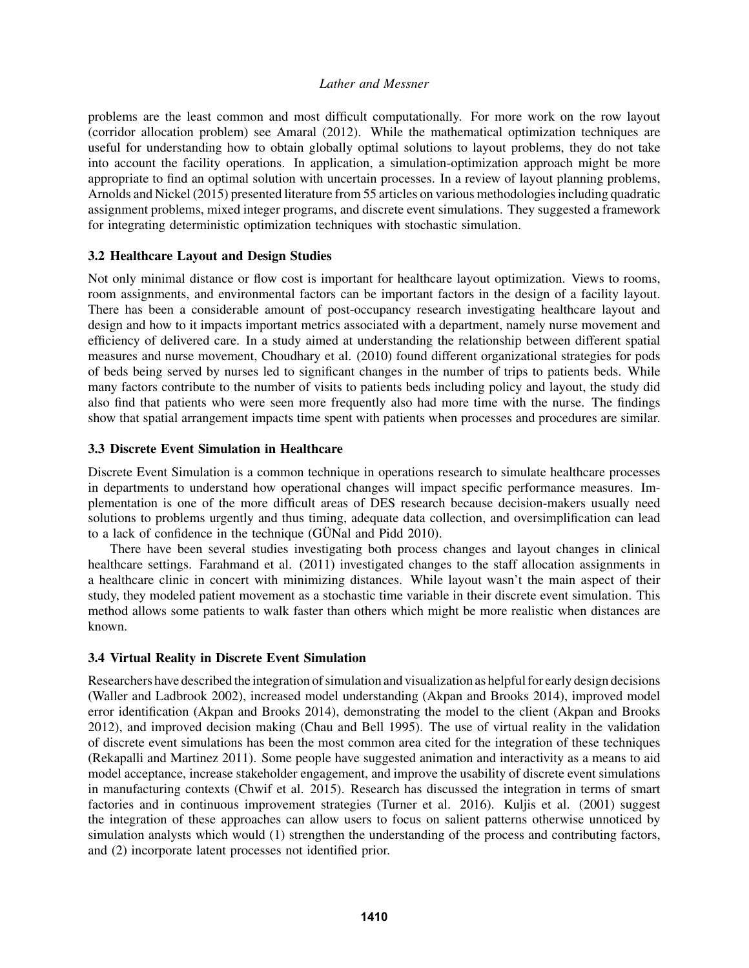problems are the least common and most difficult computationally. For more work on the row layout (corridor allocation problem) see Amaral (2012). While the mathematical optimization techniques are useful for understanding how to obtain globally optimal solutions to layout problems, they do not take into account the facility operations. In application, a simulation-optimization approach might be more appropriate to find an optimal solution with uncertain processes. In a review of layout planning problems, Arnolds and Nickel (2015) presented literature from 55 articles on various methodologies including quadratic assignment problems, mixed integer programs, and discrete event simulations. They suggested a framework for integrating deterministic optimization techniques with stochastic simulation.

## 3.2 Healthcare Layout and Design Studies

Not only minimal distance or flow cost is important for healthcare layout optimization. Views to rooms, room assignments, and environmental factors can be important factors in the design of a facility layout. There has been a considerable amount of post-occupancy research investigating healthcare layout and design and how to it impacts important metrics associated with a department, namely nurse movement and efficiency of delivered care. In a study aimed at understanding the relationship between different spatial measures and nurse movement, Choudhary et al. (2010) found different organizational strategies for pods of beds being served by nurses led to significant changes in the number of trips to patients beds. While many factors contribute to the number of visits to patients beds including policy and layout, the study did also find that patients who were seen more frequently also had more time with the nurse. The findings show that spatial arrangement impacts time spent with patients when processes and procedures are similar.

## 3.3 Discrete Event Simulation in Healthcare

Discrete Event Simulation is a common technique in operations research to simulate healthcare processes in departments to understand how operational changes will impact specific performance measures. Implementation is one of the more difficult areas of DES research because decision-makers usually need solutions to problems urgently and thus timing, adequate data collection, and oversimplification can lead to a lack of confidence in the technique (GÜNal and Pidd  $2010$ ).

There have been several studies investigating both process changes and layout changes in clinical healthcare settings. Farahmand et al. (2011) investigated changes to the staff allocation assignments in a healthcare clinic in concert with minimizing distances. While layout wasn't the main aspect of their study, they modeled patient movement as a stochastic time variable in their discrete event simulation. This method allows some patients to walk faster than others which might be more realistic when distances are known.

## 3.4 Virtual Reality in Discrete Event Simulation

Researchers have described the integration of simulation and visualization as helpful for early design decisions (Waller and Ladbrook 2002), increased model understanding (Akpan and Brooks 2014), improved model error identification (Akpan and Brooks 2014), demonstrating the model to the client (Akpan and Brooks 2012), and improved decision making (Chau and Bell 1995). The use of virtual reality in the validation of discrete event simulations has been the most common area cited for the integration of these techniques (Rekapalli and Martinez 2011). Some people have suggested animation and interactivity as a means to aid model acceptance, increase stakeholder engagement, and improve the usability of discrete event simulations in manufacturing contexts (Chwif et al. 2015). Research has discussed the integration in terms of smart factories and in continuous improvement strategies (Turner et al. 2016). Kuljis et al. (2001) suggest the integration of these approaches can allow users to focus on salient patterns otherwise unnoticed by simulation analysts which would (1) strengthen the understanding of the process and contributing factors, and (2) incorporate latent processes not identified prior.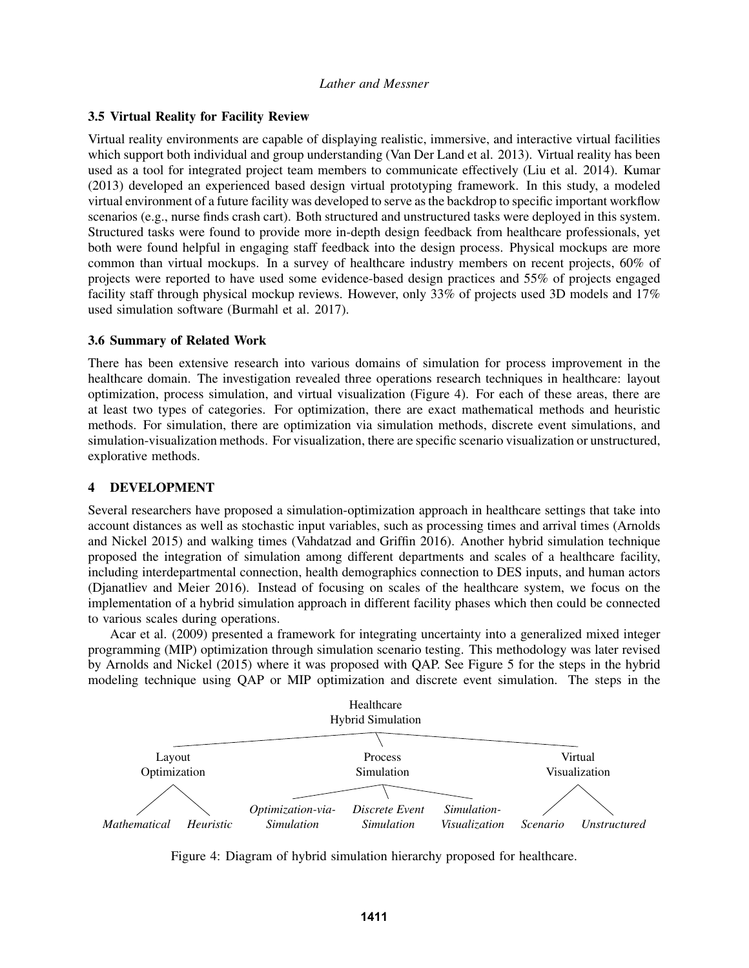## 3.5 Virtual Reality for Facility Review

Virtual reality environments are capable of displaying realistic, immersive, and interactive virtual facilities which support both individual and group understanding (Van Der Land et al. 2013). Virtual reality has been used as a tool for integrated project team members to communicate effectively (Liu et al. 2014). Kumar (2013) developed an experienced based design virtual prototyping framework. In this study, a modeled virtual environment of a future facility was developed to serve as the backdrop to specific important workflow scenarios (e.g., nurse finds crash cart). Both structured and unstructured tasks were deployed in this system. Structured tasks were found to provide more in-depth design feedback from healthcare professionals, yet both were found helpful in engaging staff feedback into the design process. Physical mockups are more common than virtual mockups. In a survey of healthcare industry members on recent projects, 60% of projects were reported to have used some evidence-based design practices and 55% of projects engaged facility staff through physical mockup reviews. However, only 33% of projects used 3D models and 17% used simulation software (Burmahl et al. 2017).

## 3.6 Summary of Related Work

There has been extensive research into various domains of simulation for process improvement in the healthcare domain. The investigation revealed three operations research techniques in healthcare: layout optimization, process simulation, and virtual visualization (Figure 4). For each of these areas, there are at least two types of categories. For optimization, there are exact mathematical methods and heuristic methods. For simulation, there are optimization via simulation methods, discrete event simulations, and simulation-visualization methods. For visualization, there are specific scenario visualization or unstructured, explorative methods.

## 4 DEVELOPMENT

Several researchers have proposed a simulation-optimization approach in healthcare settings that take into account distances as well as stochastic input variables, such as processing times and arrival times (Arnolds and Nickel 2015) and walking times (Vahdatzad and Griffin 2016). Another hybrid simulation technique proposed the integration of simulation among different departments and scales of a healthcare facility, including interdepartmental connection, health demographics connection to DES inputs, and human actors (Djanatliev and Meier 2016). Instead of focusing on scales of the healthcare system, we focus on the implementation of a hybrid simulation approach in different facility phases which then could be connected to various scales during operations.

Acar et al. (2009) presented a framework for integrating uncertainty into a generalized mixed integer programming (MIP) optimization through simulation scenario testing. This methodology was later revised by Arnolds and Nickel (2015) where it was proposed with QAP. See Figure 5 for the steps in the hybrid modeling technique using QAP or MIP optimization and discrete event simulation. The steps in the



Figure 4: Diagram of hybrid simulation hierarchy proposed for healthcare.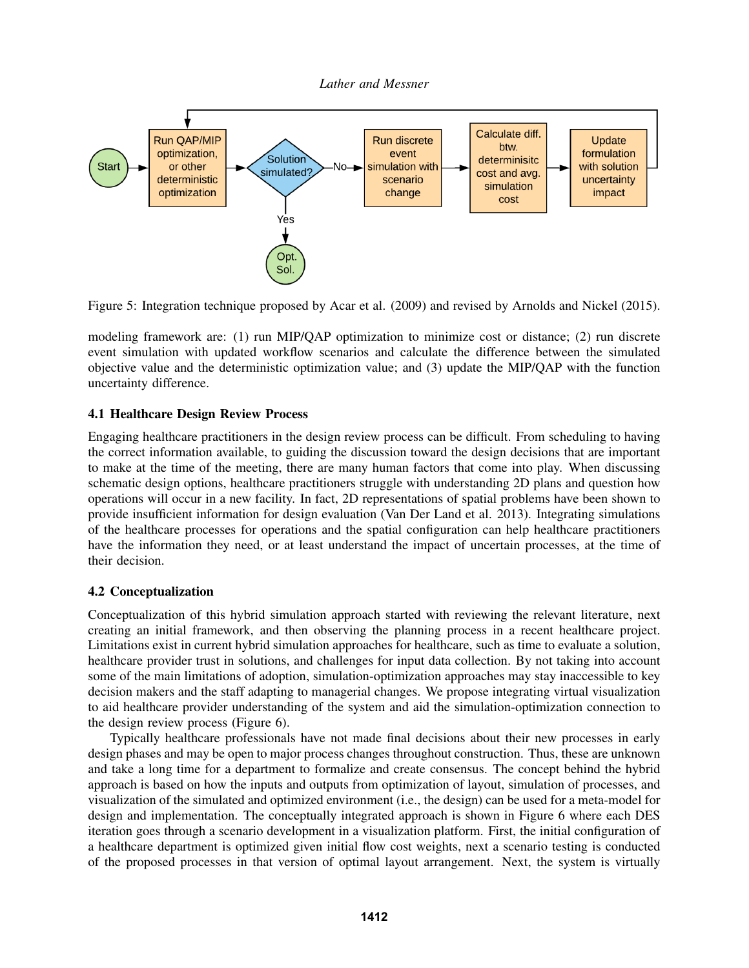

Figure 5: Integration technique proposed by Acar et al. (2009) and revised by Arnolds and Nickel (2015).

modeling framework are: (1) run MIP/QAP optimization to minimize cost or distance; (2) run discrete event simulation with updated workflow scenarios and calculate the difference between the simulated objective value and the deterministic optimization value; and (3) update the MIP/QAP with the function uncertainty difference.

# 4.1 Healthcare Design Review Process

Engaging healthcare practitioners in the design review process can be difficult. From scheduling to having the correct information available, to guiding the discussion toward the design decisions that are important to make at the time of the meeting, there are many human factors that come into play. When discussing schematic design options, healthcare practitioners struggle with understanding 2D plans and question how operations will occur in a new facility. In fact, 2D representations of spatial problems have been shown to provide insufficient information for design evaluation (Van Der Land et al. 2013). Integrating simulations of the healthcare processes for operations and the spatial configuration can help healthcare practitioners have the information they need, or at least understand the impact of uncertain processes, at the time of their decision.

# 4.2 Conceptualization

Conceptualization of this hybrid simulation approach started with reviewing the relevant literature, next creating an initial framework, and then observing the planning process in a recent healthcare project. Limitations exist in current hybrid simulation approaches for healthcare, such as time to evaluate a solution, healthcare provider trust in solutions, and challenges for input data collection. By not taking into account some of the main limitations of adoption, simulation-optimization approaches may stay inaccessible to key decision makers and the staff adapting to managerial changes. We propose integrating virtual visualization to aid healthcare provider understanding of the system and aid the simulation-optimization connection to the design review process (Figure 6).

Typically healthcare professionals have not made final decisions about their new processes in early design phases and may be open to major process changes throughout construction. Thus, these are unknown and take a long time for a department to formalize and create consensus. The concept behind the hybrid approach is based on how the inputs and outputs from optimization of layout, simulation of processes, and visualization of the simulated and optimized environment (i.e., the design) can be used for a meta-model for design and implementation. The conceptually integrated approach is shown in Figure 6 where each DES iteration goes through a scenario development in a visualization platform. First, the initial configuration of a healthcare department is optimized given initial flow cost weights, next a scenario testing is conducted of the proposed processes in that version of optimal layout arrangement. Next, the system is virtually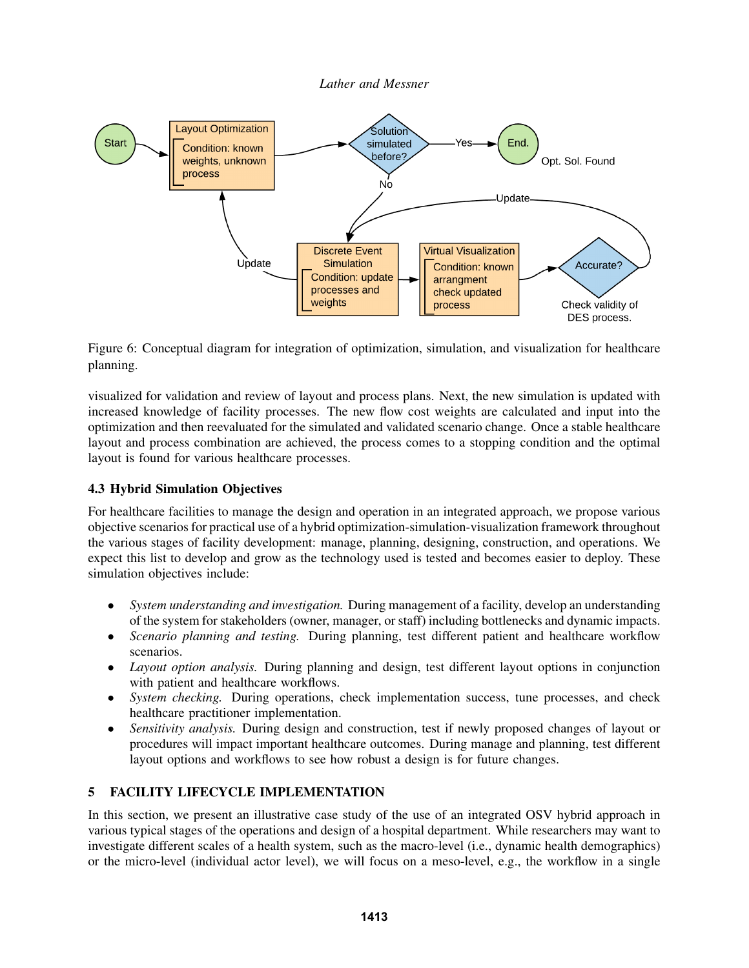

Figure 6: Conceptual diagram for integration of optimization, simulation, and visualization for healthcare planning.

visualized for validation and review of layout and process plans. Next, the new simulation is updated with increased knowledge of facility processes. The new flow cost weights are calculated and input into the optimization and then reevaluated for the simulated and validated scenario change. Once a stable healthcare layout and process combination are achieved, the process comes to a stopping condition and the optimal layout is found for various healthcare processes.

# 4.3 Hybrid Simulation Objectives

For healthcare facilities to manage the design and operation in an integrated approach, we propose various objective scenarios for practical use of a hybrid optimization-simulation-visualization framework throughout the various stages of facility development: manage, planning, designing, construction, and operations. We expect this list to develop and grow as the technology used is tested and becomes easier to deploy. These simulation objectives include:

- *System understanding and investigation.* During management of a facility, develop an understanding of the system for stakeholders (owner, manager, or staff) including bottlenecks and dynamic impacts.
- *Scenario planning and testing.* During planning, test different patient and healthcare workflow scenarios.
- *Layout option analysis.* During planning and design, test different layout options in conjunction with patient and healthcare workflows.
- *System checking.* During operations, check implementation success, tune processes, and check healthcare practitioner implementation.
- *Sensitivity analysis.* During design and construction, test if newly proposed changes of layout or procedures will impact important healthcare outcomes. During manage and planning, test different layout options and workflows to see how robust a design is for future changes.

# 5 FACILITY LIFECYCLE IMPLEMENTATION

In this section, we present an illustrative case study of the use of an integrated OSV hybrid approach in various typical stages of the operations and design of a hospital department. While researchers may want to investigate different scales of a health system, such as the macro-level (i.e., dynamic health demographics) or the micro-level (individual actor level), we will focus on a meso-level, e.g., the workflow in a single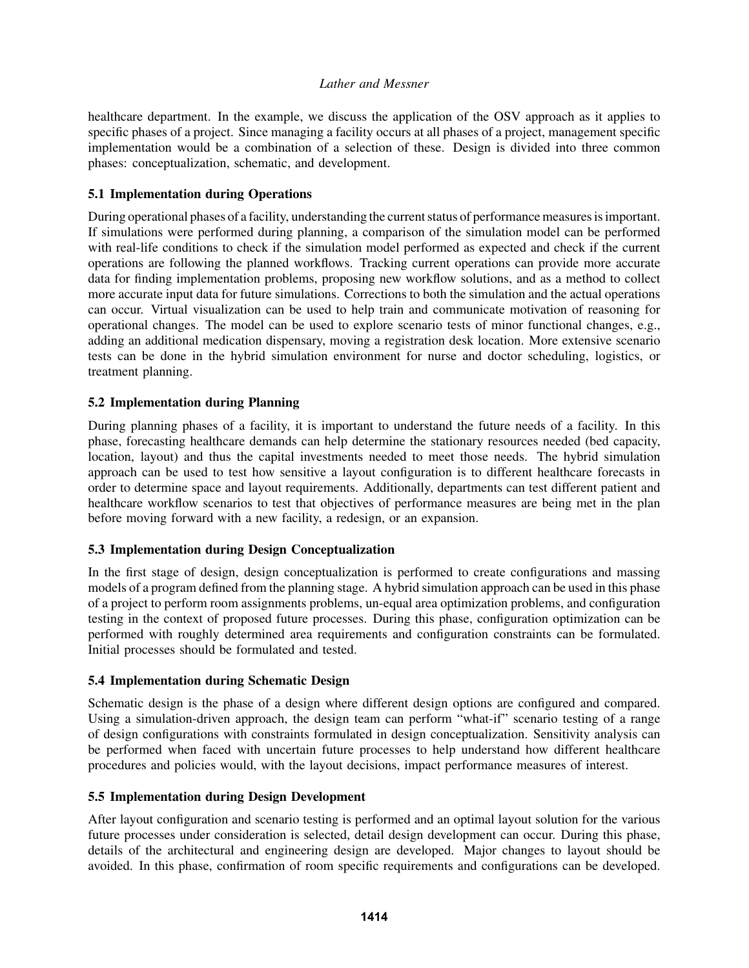healthcare department. In the example, we discuss the application of the OSV approach as it applies to specific phases of a project. Since managing a facility occurs at all phases of a project, management specific implementation would be a combination of a selection of these. Design is divided into three common phases: conceptualization, schematic, and development.

## 5.1 Implementation during Operations

During operational phases of a facility, understanding the current status of performance measures is important. If simulations were performed during planning, a comparison of the simulation model can be performed with real-life conditions to check if the simulation model performed as expected and check if the current operations are following the planned workflows. Tracking current operations can provide more accurate data for finding implementation problems, proposing new workflow solutions, and as a method to collect more accurate input data for future simulations. Corrections to both the simulation and the actual operations can occur. Virtual visualization can be used to help train and communicate motivation of reasoning for operational changes. The model can be used to explore scenario tests of minor functional changes, e.g., adding an additional medication dispensary, moving a registration desk location. More extensive scenario tests can be done in the hybrid simulation environment for nurse and doctor scheduling, logistics, or treatment planning.

## 5.2 Implementation during Planning

During planning phases of a facility, it is important to understand the future needs of a facility. In this phase, forecasting healthcare demands can help determine the stationary resources needed (bed capacity, location, layout) and thus the capital investments needed to meet those needs. The hybrid simulation approach can be used to test how sensitive a layout configuration is to different healthcare forecasts in order to determine space and layout requirements. Additionally, departments can test different patient and healthcare workflow scenarios to test that objectives of performance measures are being met in the plan before moving forward with a new facility, a redesign, or an expansion.

# 5.3 Implementation during Design Conceptualization

In the first stage of design, design conceptualization is performed to create configurations and massing models of a program defined from the planning stage. A hybrid simulation approach can be used in this phase of a project to perform room assignments problems, un-equal area optimization problems, and configuration testing in the context of proposed future processes. During this phase, configuration optimization can be performed with roughly determined area requirements and configuration constraints can be formulated. Initial processes should be formulated and tested.

## 5.4 Implementation during Schematic Design

Schematic design is the phase of a design where different design options are configured and compared. Using a simulation-driven approach, the design team can perform "what-if" scenario testing of a range of design configurations with constraints formulated in design conceptualization. Sensitivity analysis can be performed when faced with uncertain future processes to help understand how different healthcare procedures and policies would, with the layout decisions, impact performance measures of interest.

## 5.5 Implementation during Design Development

After layout configuration and scenario testing is performed and an optimal layout solution for the various future processes under consideration is selected, detail design development can occur. During this phase, details of the architectural and engineering design are developed. Major changes to layout should be avoided. In this phase, confirmation of room specific requirements and configurations can be developed.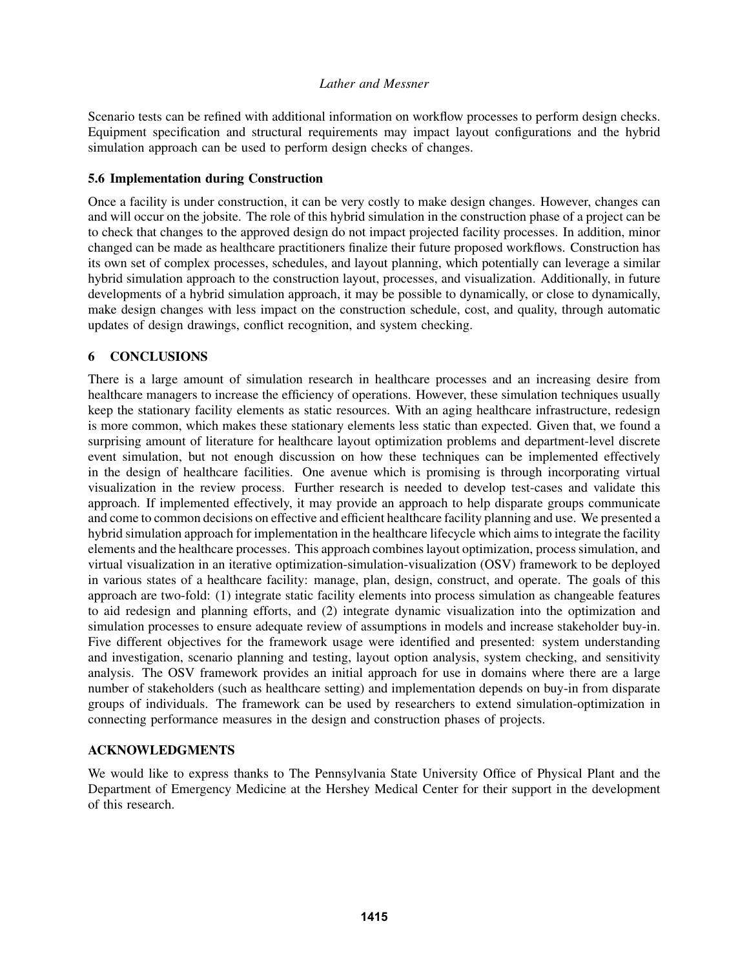Scenario tests can be refined with additional information on workflow processes to perform design checks. Equipment specification and structural requirements may impact layout configurations and the hybrid simulation approach can be used to perform design checks of changes.

## 5.6 Implementation during Construction

Once a facility is under construction, it can be very costly to make design changes. However, changes can and will occur on the jobsite. The role of this hybrid simulation in the construction phase of a project can be to check that changes to the approved design do not impact projected facility processes. In addition, minor changed can be made as healthcare practitioners finalize their future proposed workflows. Construction has its own set of complex processes, schedules, and layout planning, which potentially can leverage a similar hybrid simulation approach to the construction layout, processes, and visualization. Additionally, in future developments of a hybrid simulation approach, it may be possible to dynamically, or close to dynamically, make design changes with less impact on the construction schedule, cost, and quality, through automatic updates of design drawings, conflict recognition, and system checking.

# 6 CONCLUSIONS

There is a large amount of simulation research in healthcare processes and an increasing desire from healthcare managers to increase the efficiency of operations. However, these simulation techniques usually keep the stationary facility elements as static resources. With an aging healthcare infrastructure, redesign is more common, which makes these stationary elements less static than expected. Given that, we found a surprising amount of literature for healthcare layout optimization problems and department-level discrete event simulation, but not enough discussion on how these techniques can be implemented effectively in the design of healthcare facilities. One avenue which is promising is through incorporating virtual visualization in the review process. Further research is needed to develop test-cases and validate this approach. If implemented effectively, it may provide an approach to help disparate groups communicate and come to common decisions on effective and efficient healthcare facility planning and use. We presented a hybrid simulation approach for implementation in the healthcare lifecycle which aims to integrate the facility elements and the healthcare processes. This approach combines layout optimization, process simulation, and virtual visualization in an iterative optimization-simulation-visualization (OSV) framework to be deployed in various states of a healthcare facility: manage, plan, design, construct, and operate. The goals of this approach are two-fold: (1) integrate static facility elements into process simulation as changeable features to aid redesign and planning efforts, and (2) integrate dynamic visualization into the optimization and simulation processes to ensure adequate review of assumptions in models and increase stakeholder buy-in. Five different objectives for the framework usage were identified and presented: system understanding and investigation, scenario planning and testing, layout option analysis, system checking, and sensitivity analysis. The OSV framework provides an initial approach for use in domains where there are a large number of stakeholders (such as healthcare setting) and implementation depends on buy-in from disparate groups of individuals. The framework can be used by researchers to extend simulation-optimization in connecting performance measures in the design and construction phases of projects.

# ACKNOWLEDGMENTS

We would like to express thanks to The Pennsylvania State University Office of Physical Plant and the Department of Emergency Medicine at the Hershey Medical Center for their support in the development of this research.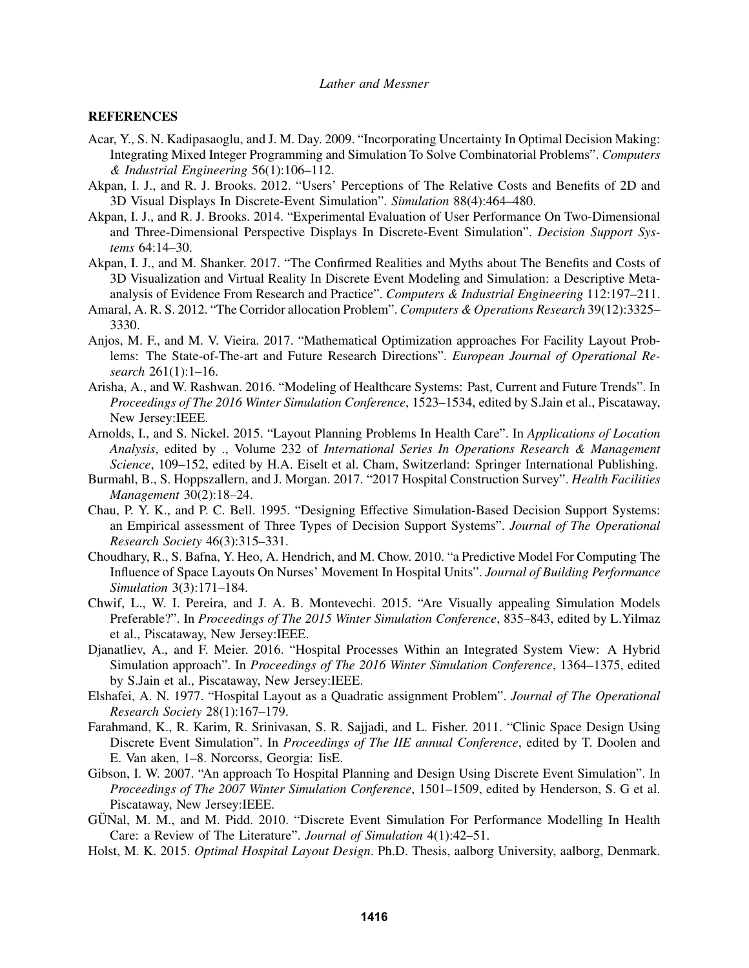#### **REFERENCES**

- Acar, Y., S. N. Kadipasaoglu, and J. M. Day. 2009. "Incorporating Uncertainty In Optimal Decision Making: Integrating Mixed Integer Programming and Simulation To Solve Combinatorial Problems". *Computers & Industrial Engineering* 56(1):106–112.
- Akpan, I. J., and R. J. Brooks. 2012. "Users' Perceptions of The Relative Costs and Benefits of 2D and 3D Visual Displays In Discrete-Event Simulation". *Simulation* 88(4):464–480.
- Akpan, I. J., and R. J. Brooks. 2014. "Experimental Evaluation of User Performance On Two-Dimensional and Three-Dimensional Perspective Displays In Discrete-Event Simulation". *Decision Support Systems* 64:14–30.
- Akpan, I. J., and M. Shanker. 2017. "The Confirmed Realities and Myths about The Benefits and Costs of 3D Visualization and Virtual Reality In Discrete Event Modeling and Simulation: a Descriptive Metaanalysis of Evidence From Research and Practice". *Computers & Industrial Engineering* 112:197–211.
- Amaral, A. R. S. 2012. "The Corridor allocation Problem". *Computers & Operations Research* 39(12):3325– 3330.
- Anjos, M. F., and M. V. Vieira. 2017. "Mathematical Optimization approaches For Facility Layout Problems: The State-of-The-art and Future Research Directions". *European Journal of Operational Research* 261(1):1–16.
- Arisha, A., and W. Rashwan. 2016. "Modeling of Healthcare Systems: Past, Current and Future Trends". In *Proceedings of The 2016 Winter Simulation Conference*, 1523–1534, edited by S.Jain et al., Piscataway, New Jersey:IEEE.
- Arnolds, I., and S. Nickel. 2015. "Layout Planning Problems In Health Care". In *Applications of Location Analysis*, edited by ., Volume 232 of *International Series In Operations Research & Management Science*, 109–152, edited by H.A. Eiselt et al. Cham, Switzerland: Springer International Publishing.
- Burmahl, B., S. Hoppszallern, and J. Morgan. 2017. "2017 Hospital Construction Survey". *Health Facilities Management* 30(2):18–24.
- Chau, P. Y. K., and P. C. Bell. 1995. "Designing Effective Simulation-Based Decision Support Systems: an Empirical assessment of Three Types of Decision Support Systems". *Journal of The Operational Research Society* 46(3):315–331.
- Choudhary, R., S. Bafna, Y. Heo, A. Hendrich, and M. Chow. 2010. "a Predictive Model For Computing The Influence of Space Layouts On Nurses' Movement In Hospital Units". *Journal of Building Performance Simulation* 3(3):171–184.
- Chwif, L., W. I. Pereira, and J. A. B. Montevechi. 2015. "Are Visually appealing Simulation Models Preferable?". In *Proceedings of The 2015 Winter Simulation Conference*, 835–843, edited by L.Yilmaz et al., Piscataway, New Jersey:IEEE.
- Djanatliev, A., and F. Meier. 2016. "Hospital Processes Within an Integrated System View: A Hybrid Simulation approach". In *Proceedings of The 2016 Winter Simulation Conference*, 1364–1375, edited by S.Jain et al., Piscataway, New Jersey:IEEE.
- Elshafei, A. N. 1977. "Hospital Layout as a Quadratic assignment Problem". *Journal of The Operational Research Society* 28(1):167–179.
- Farahmand, K., R. Karim, R. Srinivasan, S. R. Sajjadi, and L. Fisher. 2011. "Clinic Space Design Using Discrete Event Simulation". In *Proceedings of The IIE annual Conference*, edited by T. Doolen and E. Van aken, 1–8. Norcorss, Georgia: IisE.
- Gibson, I. W. 2007. "An approach To Hospital Planning and Design Using Discrete Event Simulation". In *Proceedings of The 2007 Winter Simulation Conference*, 1501–1509, edited by Henderson, S. G et al. Piscataway, New Jersey:IEEE.
- GÜNal, M. M., and M. Pidd. 2010. "Discrete Event Simulation For Performance Modelling In Health Care: a Review of The Literature". *Journal of Simulation* 4(1):42–51.
- Holst, M. K. 2015. *Optimal Hospital Layout Design*. Ph.D. Thesis, aalborg University, aalborg, Denmark.